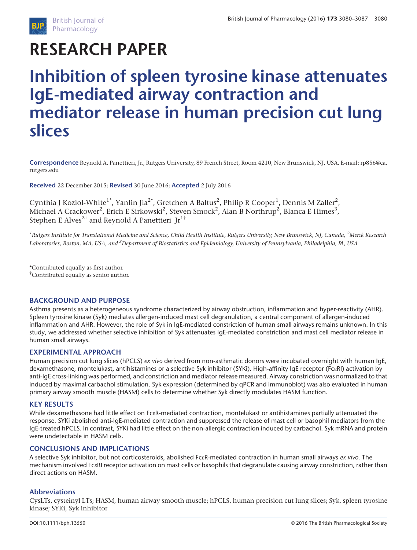# RESEARCH PAPER

# Inhibition of spleen tyrosine kinase attenuates IgE-mediated airway contraction and mediator release in human precision cut lung slices

Correspondence Reynold A. Panettieri, Jr., Rutgers University, 89 French Street, Room 4210, New Brunswick, NJ, USA. E-mail: [rp856@ca.](mailto:rp856@ca.rutgers.edu) [rutgers.edu](mailto:rp856@ca.rutgers.edu)

Received 22 December 2015; Revised 30 June 2016; Accepted 2 July 2016

Cynthia J Koziol-White $^{\rm 1^\star}$ , Yanlin Jia $^{\rm 2^\star}$ , Gretchen A Baltus $^{\rm 2}$ , Philip R Cooper $^{\rm 1}$ , Dennis M Zaller $^{\rm 2}$ , Michael A Crackower<sup>2</sup>, Erich E Sirkowski<sup>2</sup>, Steven Smock<sup>2</sup>, Alan B Northrup<sup>2</sup>, Blanca E Himes<sup>3</sup>, Stephen E Alves<sup>2†</sup> and Reynold A Panettieri Jr<sup>1†</sup>

 $^1$ Rutgers Institute for Translational Medicine and Science, Child Health Institute, Rutgers University, New Brunswick, NJ, Canada,  $^2$ Merck Research Laboratories, Boston, MA, USA, and <sup>3</sup>Department of Biostatistics and Epidemiology, University of Pennsylvania, Philadelphia, PA, USA

\*Contributed equally as first author. † Contributed equally as senior author.

#### BACKGROUND AND PURPOSE

Asthma presents as a heterogeneous syndrome characterized by airway obstruction, inflammation and hyper-reactivity (AHR). Spleen tyrosine kinase (Syk) mediates allergen-induced mast cell degranulation, a central component of allergen-induced inflammation and AHR. However, the role of Syk in IgE-mediated constriction of human small airways remains unknown. In this study, we addressed whether selective inhibition of Syk attenuates IgE-mediated constriction and mast cell mediator release in human small airways.

#### EXPERIMENTAL APPROACH

Human precision cut lung slices (hPCLS) ex vivo derived from non-asthmatic donors were incubated overnight with human IgE, dexamethasone, montelukast, antihistamines or a selective Syk inhibitor (SYKi). High-affinity IgE receptor (FcεRI) activation by anti-IgE cross-linking was performed, and constriction and mediator release measured. Airway constriction was normalized to that induced by maximal carbachol stimulation. Syk expression (determined by qPCR and immunoblot) was also evaluated in human primary airway smooth muscle (HASM) cells to determine whether Syk directly modulates HASM function.

#### KEY RESULTS

While dexamethasone had little effect on FcεR-mediated contraction, montelukast or antihistamines partially attenuated the response. SYKi abolished anti-IgE-mediated contraction and suppressed the release of mast cell or basophil mediators from the IgE-treated hPCLS. In contrast, SYKi had little effect on the non-allergic contraction induced by carbachol. Syk mRNA and protein were undetectable in HASM cells.

#### CONCLUSIONS AND IMPLICATIONS

A selective Syk inhibitor, but not corticosteroids, abolished Fc $\varepsilon$ R-mediated contraction in human small airways ex vivo. The mechanism involved FcεRI receptor activation on mast cells or basophils that degranulate causing airway constriction, rather than direct actions on HASM.

#### Abbreviations

CysLTs, cysteinyl LTs; HASM, human airway smooth muscle; hPCLS, human precision cut lung slices; Syk, spleen tyrosine kinase; SYKi, Syk inhibitor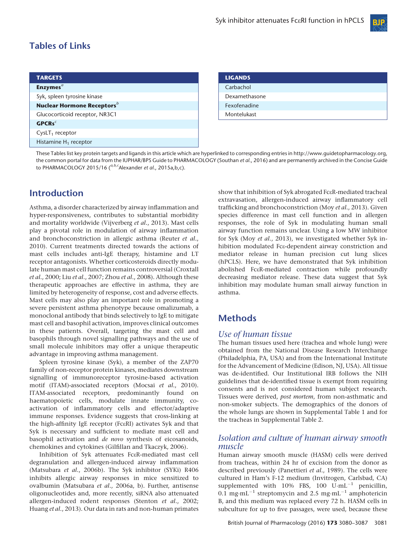

# Tables of Links

| <b>TARGETS</b>                                |
|-----------------------------------------------|
| Enzymes <sup>a</sup>                          |
| Syk, spleen tyrosine kinase                   |
| <b>Nuclear Hormone Receptors</b> <sup>b</sup> |
| Glucocorticoid receptor, NR3C1                |
| $GPCRs^c$                                     |
| $CysLT1$ receptor                             |
| Histamine $H_1$ receptor                      |

| <b>LIGANDS</b> |  |
|----------------|--|
| Carbachol      |  |
| Dexamethasone  |  |
| Fexofenadine   |  |
| Montelukast    |  |

These Tables list key protein targets and ligands in this article which are hyperlinked to corresponding entries in [http://www.guidetopharmacology.org,](http://www.guidetopharmacology.org) the common portal for data from the IUPHAR/BPS Guide to PHARMACOLOGY (Southan et al., 2016) and are permanently archived in the Concise Guide to PHARMACOLOGY 2015/16  $(^{a,b,c}$ Alexander et al., 2015a,b,c).

## Introduction

Asthma, a disorder characterized by airway inflammation and hyper-responsiveness, contributes to substantial morbidity and mortality worldwide (Vijverberg et al., 2013). Mast cells play a pivotal role in modulation of airway inflammation and bronchoconstriction in allergic asthma (Reuter et al., 2010). Current treatments directed towards the actions of mast cells includes anti-IgE therapy, histamine and LT receptor antagonists. Whether corticosteroids directly modulate human mast cell function remains controversial (Croxtall et al., 2000; Liu et al., 2007; Zhou et al., 2008). Although these therapeutic approaches are effective in asthma, they are limited by heterogeneity of response, cost and adverse effects. Mast cells may also play an important role in promoting a severe persistent asthma phenotype because omalizumab, a monoclonal antibody that binds selectively to IgE to mitigate mast cell and basophil activation, improves clinical outcomes in these patients. Overall, targeting the mast cell and basophils through novel signalling pathways and the use of small molecule inhibitors may offer a unique therapeutic advantage in improving asthma management.

Spleen tyrosine kinase (Syk), a member of the ZAP70 family of non-receptor protein kinases, mediates downstream signalling of immunoreceptor tyrosine-based activation motif (ITAM)-associated receptors (Mocsai et al., 2010). ITAM-associated receptors, predominantly found on haematopoietic cells, modulate innate immunity, coactivation of inflammatory cells and effector/adaptive immune responses. Evidence suggests that cross-linking at the high-affinity IgE receptor (FcεRI) activates Syk and that Syk is necessary and sufficient to mediate mast cell and basophil activation and de novo synthesis of eicosanoids, chemokines and cytokines (Gilfillan and Tkaczyk, 2006).

Inhibition of Syk attenuates FcεR-mediated mast cell degranulation and allergen-induced airway inflammation (Matsubara et al., 2006b). The Syk inhibitor (SYKi) R406 inhibits allergic airway responses in mice sensitized to ovalbumin (Matsubara et al., 2006a, b). Further, antisense oligonucleotides and, more recently, siRNA also attenuated allergen-induced rodent responses (Stenton et al., 2002; Huang et al., 2013). Our data in rats and non-human primates

show that inhibition of Syk abrogated FcεR-mediated tracheal extravasation, allergen-induced airway inflammatory cell trafficking and bronchoconstriction (Moy et al., 2013). Given species difference in mast cell function and in allergen responses, the role of Syk in modulating human small airway function remains unclear. Using a low MW inhibitor for Syk (Moy et al., 2013), we investigated whether Syk inhibition modulated Fcε-dependent airway constriction and mediator release in human precision cut lung slices (hPCLS). Here, we have demonstrated that Syk inhibition abolished FcεR-mediated contraction while profoundly decreasing mediator release. These data suggest that Syk inhibition may modulate human small airway function in asthma.

# **Methods**

## Use of human tissue

The human tissues used here (trachea and whole lung) were obtained from the National Disease Research Interchange (Philadelphia, PA, USA) and from the International Institute for the Advancement of Medicine (Edison, NJ, USA). All tissue was de-identified. Our Institutional IRB follows the NIH guidelines that de-identified tissue is exempt from requiring consents and is not considered human subject research. Tissues were derived, post mortem, from non-asthmatic and non-smoker subjects. The demographics of the donors of the whole lungs are shown in Supplemental Table 1 and for the tracheas in Supplemental Table 2.

### Isolation and culture of human airway smooth muscle

Human airway smooth muscle (HASM) cells were derived from tracheas, within 24 hr of excision from the donor as described previously (Panettieri et al., 1989). The cells were cultured in Ham's F-12 medium (Invitrogen, Carlsbad, CA) supplemented with 10% FBS, 100  $U \cdot mL^{-1}$  penicillin, 0.1 mg·mL<sup>-1</sup> streptomycin and 2.5 mg·mL<sup>-1</sup> amphotericin B, and this medium was replaced every 72 h. HASM cells in subculture for up to five passages, were used, because these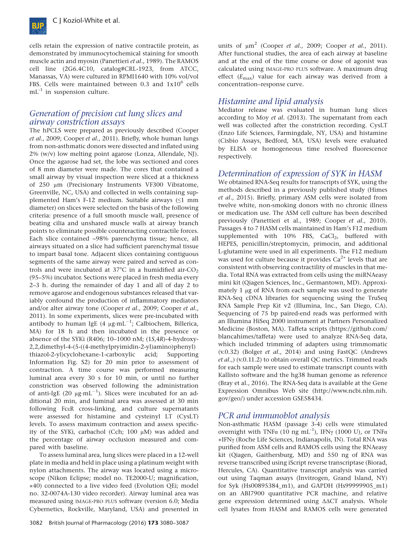

cells retain the expression of native contractile protein, as demonstrated by immunocytochemical staining for smooth muscle actin and myosin (Panettieri et al., 1989). The RAMOS cell line (2G6.4C10, catalog#CRL-1923, from ATCC, Manassas, VA) were cultured in RPMI1640 with 10% vol/vol FBS. Cells were maintained between 0.3 and  $1x10^6$  cells  $mL^{-1}$  in suspension culture.

## Generation of precision cut lung slices and airway constriction assays

The hPCLS were prepared as previously described (Cooper et al., 2009; Cooper et al., 2011). Briefly, whole human lungs from non-asthmatic donors were dissected and inflated using  $2\%$  (w/v) low melting point agarose (Lonza, Allendale, NJ). Once the agarose had set, the lobe was sectioned and cores of 8 mm diameter were made. The cores that contained a small airway by visual inspection were sliced at a thickness of 250 μm (Precisionary Instruments VF300 Vibratome, Greenville, NC, USA) and collected in wells containing supplemented Ham's F-12 medium. Suitable airways (≤1 mm diameter) on slices were selected on the basis of the following criteria: presence of a full smooth muscle wall, presence of beating cilia and unshared muscle walls at airway branch points to eliminate possible counteracting contractile forces. Each slice contained ∼98% parenchyma tissue; hence, all airways situated on a slice had sufficient parenchymal tissue to impart basal tone. Adjacent slices containing contiguous segments of the same airway were paired and served as controls and were incubated at  $37^{\circ}$ C in a humidified air-CO<sub>2</sub> (95–5%) incubator. Sections were placed in fresh media every 2–3 h. during the remainder of day 1 and all of day 2 to remove agarose and endogenous substances released that variably confound the production of inflammatory mediators and/or alter airway tone (Cooper et al., 2009; Cooper et al., 2011). In some experiments, slices were pre-incubated with antibody to human IgE (4  $\mu$ g·mL $^{-1}$ ; Calbiochem, Billerica, MA) for 18 h and then incubated in the presence or absence of the SYKi (R406; 10–1000 nM; (1S,4R)-4-hydroxy-2,2,dimethyl-4-(5-((4-methylpryimidin-2-yl)amino)phenyl) thiazol-2-yl)cyclohexane-1-carboxylic acid; Supporting Information Fig. S2) for 20 min prior to assessment of contraction. A time course was performed measuring luminal area every 30 s for 10 min, or until no further constriction was observed following the administration of anti-IgE (20  $\mu$ g·mL $^{-1}$ ). Slices were incubated for an additional 20 min, and luminal area was assessed at 30 min following FcεR cross-linking, and culture supernatants were assessed for histamine and cysteinyl LT (CysLT) levels. To assess maximum contraction and assess specificity of the SYKi, carbachol (Cch; 100 μM) was added and the percentage of airway occlusion measured and compared with baseline.

To assess luminal area, lung slices were placed in a 12-well plate in media and held in place using a platinum weight with nylon attachments. The airway was located using a microscope (Nikon Eclipse; model no. TE2000-U; magnification, ×40) connected to a live video feed (Evolution QEi; model no. 32-0074A-130 video recorder). Airway luminal area was measured using IMAGE-PRO PLUS software (version 6.0; Media Cybernetics, Rockville, Maryland, USA) and presented in

units of  $\mu$ m<sup>2</sup> (Cooper *et al.*, 2009; Cooper *et al.*, 2011). After functional studies, the area of each airway at baseline and at the end of the time course or dose of agonist was calculated using IMAGE-PRO PLUS software. A maximum drug effect  $(E_{\text{max}})$  value for each airway was derived from a concentration–response curve.

## Histamine and lipid analysis

Mediator release was evaluated in human lung slices according to Moy et al. (2013). The supernatant from each well was collected after the constriction recording. CysLT (Enzo Life Sciences, Farmingdale, NY, USA) and histamine (Cisbio Assays, Bedford, MA, USA) levels were evaluated by ELISA or homogeneous time resolved fluorescence respectively.

## Determination of expression of SYK in HASM

We obtained RNA-Seq results for transcripts of SYK, using the methods described in a previously published study (Himes et al., 2015). Briefly, primary ASM cells were isolated from twelve white, non-smoking donors with no chronic illness or medication use. The ASM cell culture has been described previously (Panettieri et al., 1989; Cooper et al., 2010). Passages 4 to 7 HASM cells maintained in Ham's F12 medium supplemented with  $10\%$  FBS, CaCl<sub>2</sub>, buffered with HEPES, penicillin/streptomycin, primocin, and additional L-glutamine were used in all experiments. The F12 medium was used for culture because it provides  $Ca<sup>2+</sup>$  levels that are consistent with observing contractility of muscles in that media. Total RNA was extracted from cells using the miRNAeasy mini kit (Qiagen Sciences, Inc., Germantown, MD). Approximately 1 μg of RNA from each sample was used to generate RNA-Seq cDNA libraries for sequencing using the TruSeq RNA Sample Prep Kit v2 (Illumina, Inc., San Diego, CA). Sequencing of 75 bp paired-end reads was performed with an Illumina HiSeq 2000 instrument at Partners Personalized Medicine (Boston, MA). Taffeta scripts (https://github.com/ blancahimes/taffeta) were used to analyze RNA-Seq data, which included trimming of adapters using trimmomatic (v.0.32) (Bolger et al., 2014) and using FastQC (Andrews et al.,) (v.0.11.2) to obtain overall QC metrics. Trimmed reads for each sample were used to estimate transcript counts with Kallisto software and the hg38 human genome as reference (Bray et al., 2016). The RNA-Seq data is available at the Gene Expression Omnibus Web site (http://www.ncbi.nlm.nih. gov/geo/) under accession GSE58434.

## PCR and immunoblot analysis

Non-asthmatic HASM (passage 3-4) cells were stimulated overnight with TNFα (10 ng mL<sup>-1</sup>), IFNγ (1000 U), or TNFα +IFNγ (Roche Life Sciences, Indianapolis, IN). Total RNA was purified from ASM cells and RAMOS cells using the RNAeasy kit (Qiagen, Gaithersburg, MD) and 550 ng of RNA was reverse transcribed using iScript reverse transcriptase (Biorad, Hercules, CA). Quantitative transcript analysis was carried out using Taqman assays (Invitrogen, Grand Island, NY) for Syk (Hs00895384\_m1), and GAPDH (Hs99999905\_m1) on an ABI7900 quantitative PCR machine, and relative gene expression determined using ΔΔCT analysis. Whole cell lysates from HASM and RAMOS cells were generated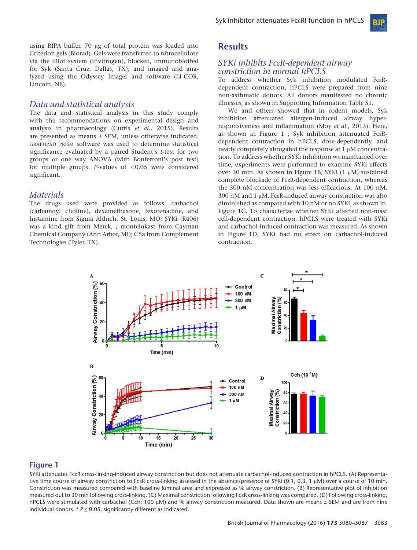using RIPA buffer. 70 μg of total protein was loaded into Criterion gels (Biorad). Gels were transferred to nitrocellulose via the iBlot system (Invitrogen), blocked, immunoblotted for Syk (Santa Cruz, Dallas, TX), and imaged and analyzed using the Odyssey Imager and software (LI-COR, Lincoln, NE).

#### Data and statistical analysis

The data and statistical analysis in this study comply with the recommendations on experimental design and analysis in pharmacology (Curtis et al., 2015). Results are presented as means ± SEM, unless otherwise indicated. GRAPHPAD PRISM software was used to determine statistical significance evaluated by a paired Student's t-test for two groups or one way ANOVA (with Bonferroni's post test) for multiple groups.  $P$ -values of <0.05 were considered significant.

#### **Materials**

The drugs used were provided as follows: carbachol (carbamoyl choline), dexamethasone, fexofenadine, and histamine from Sigma Aldrich, St. Louis, MO; SYKi (R406) was a kind gift from Merck, ; montelukast from Cayman Chemical Company (Ann Arbor, MI); C5a from Complement Technologies (Tyler, TX).

## **Results**

#### SYKi inhibits FcεR-dependent airway constriction in normal hPCLS

To address whether Syk inhibition modulated FcεRdependent contraction, hPCLS were prepared from nine non-asthmatic donors. All donors manifested no chronic illnesses, as shown in Supporting Information Table S1.

We and others showed that in rodent models, Syk inhibition attenuated allergen-induced airway hyperresponsiveness and inflammation (Moy et al., 2013). Here, as shown in Figure 1 , Syk inhibition attenuated FcεRdependent contraction in hPCLS, dose-dependently, and nearly completely abrogated the response at 1 μM concentration. To address whether SYKi inhibition ws maintained over time, experiments were performed to examine SYKi effects over 30 min. As shown in Figure 1B, SYKi (1 μM) sustained complete blockade of FcεR-dependent contraction, whereas the 300 nM concentration was less efficacious. At 100 nM, 300 nM and 1 μM, FcεR-induced airway constriction was also diminished as compared with 10 nM or no SYKi, as shown in Figure 1C. To characterize whether SYKi affected non-mast cell-dependent contraction, hPCLS were treated with SYKi and carbachol-induced contraction was measured. As shown in Figure 1D, SYKi had no effect on carbachol-induced contraction.



#### Figure 1

SYKi attenuates FcεR cross-linking-induced airway constriction but does not attenuate carbachol-induced contraction in hPCLS. (A) Representative time course of airway constriction to FcεR cross-linking assessed in the absence/presence of SYKi (0.1, 0.3, 1 μM) over a course of 10 min. Constriction was measured compared with baseline luminal area and expressed as % airway constriction. (B) Representative plot of inhibition measured out to 30 min following cross-linking. (C) Maximal constriction following FcεR cross-linking was compared. (D) Following cross-linking, hPCLS were stimulated with carbachol (Cch; 100 μM) and % airway constriction measured. Data shown are means ± SEM and are from nine individual donors. \*  $P \le 0.05$ , significantly different as indicated.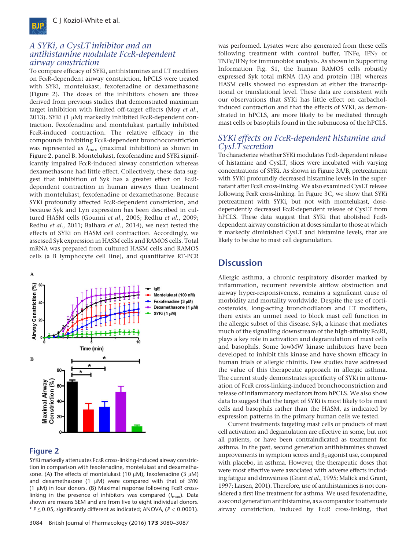

#### A SYKi, a CysLT inhibitor and an antihistamine modulate FcεR-dependent airway constriction

To compare efficacy of SYKi, antihistamines and LT modifiers on FcεR-dependent airway constriction, hPCLS were treated with SYKi, montelukast, fexofenadine or dexamethasone (Figure 2). The doses of the inhibitors chosen are those derived from previous studies that demonstrated maximum target inhibition with limited off-target effects (Moy et al., 2013). SYKi (1 μM) markedly inhibited FcεR-dependent contraction. Fexofenadine and montelukast partially inhibited FcεR-induced contraction. The relative efficacy in the compounds inhibiting FcεR-dependent bronchoconstriction was represented as  $I_{\text{max}}$  (maximal inhibition) as shown in Figure 2, panel B. Montelukast, fexofenadine and SYKi significantly impaired FcεR-induced airway constriction whereas dexamethasone had little effect. Collectively, these data suggest that inhibition of Syk has a greater effect on FcεRdependent contraction in human airways than treatment with montelukast, fexofenadine or dexamethasone. Because SYKi profoundly affected FcεR-dependent constriction, and because Syk and Lyn expression has been described in cultured HASM cells (Gounni et al., 2005; Redhu et al., 2009; Redhu et al., 2011; Balhara et al., 2014), we next tested the effects of SYKi on HASM cell contraction. Accordingly, we assessed Syk expression in HASM cells and RAMOS cells. Total mRNA was prepared from cultured HASM cells and RAMOS cells (a B lymphocyte cell line), and quantitative RT-PCR



#### Figure 2

SYKi markedly attenuates FcεR cross-linking-induced airway constriction in comparison with fexofenadine, montelukast and dexamethasone. (A) The effects of montelukast (10  $\mu$ M), fexofenadine (3  $\mu$ M) and dexamethasone (1  $\mu$ M) were compared with that of SYKi (1 μM) in four donors. (B) Maximal response following FcεR crosslinking in the presence of inhibitors was compared  $(I_{\text{max}})$ . Data shown are means SEM and are from five to eight individual donors. \*  $P \le 0.05$ , significantly different as indicated; ANOVA, ( $P < 0.0001$ ).

was performed. Lysates were also generated from these cells following treatment with control buffer, TNFα, IFNγ or TNFα/IFNγ for immunoblot analysis. As shown in Supporting Information Fig. S1, the human RAMOS cells robustly expressed Syk total mRNA (1A) and protein (1B) whereas HASM cells showed no expression at either the transcriptional or translational level. These data are consistent with our observations that SYKi has little effect on carbacholinduced contraction and that the effects of SYKi, as demonstrated in hPCLS, are more likely to be mediated through mast cells or basophils found in the submucosa of the hPCLS.

### SYKi effects on FcεR-dependent histamine and CysLTsecretion

To characterize whether SYKi modulates FcεR-dependent release of histamine and CysLT, slices were incubated with varying concentrations of SYKi. As shown in Figure 3A/B, pretreatment with SYKi profoundly decreased histamine levels in the supernatant after FcεR cross-linking. We also examined CysLT release following FcεR cross-linking. In Figure 3C, we show that SYKi pretreatment with SYKi, but not with montelukast, dosedependently decreased FcεR-dependent release of CysLT from hPCLS. These data suggest that SYKi that abolished FcεRdependent airway constriction at doses similar to those at which it markedly diminished CysLT and histamine levels, that are likely to be due to mast cell degranulation.

## **Discussion**

Allergic asthma, a chronic respiratory disorder marked by inflammation, recurrent reversible airflow obstruction and airway hyper-responsiveness, remains a significant cause of morbidity and mortality worldwide. Despite the use of corticosteroids, long-acting bronchodilators and LT modifiers, there exists an unmet need to block mast cell function in the allergic subset of this disease. Syk, a kinase that mediates much of the signalling downstream of the high-affinity FcεRI, plays a key role in activation and degranulation of mast cells and basophils. Some lowMW kinase inhibitors have been developed to inhibit this kinase and have shown efficacy in human trials of allergic rhinitis. Few studies have addressed the value of this therapeutic approach in allergic asthma. The current study demonstrates specificity of SYKi in attenuation of FcεR cross-linking-induced bronchoconstriction and release of inflammatory mediators from hPCLS. We also show data to suggest that the target of SYKi is most likely to be mast cells and basophils rather than the HASM, as indicated by expression patterns in the primary human cells we tested.

Current treatments targeting mast cells or products of mast cell activation and degranulation are effective in some, but not all patients, or have been contraindicated as treatment for asthma. In the past, second generation antihistamines showed improvements in symptom scores and  $β_2$  agonist use, compared with placebo, in asthma. However, the therapeutic doses that were most effective were associated with adverse effects including fatigue and drowsiness (Grant et al., 1995; Malick and Grant, 1997; Larsen, 2001). Therefore, use of antihistamines is not considered a first line treatment for asthma. We used fexofenadine, a second generation antihistamine, as a comparator to attenuate airway constriction, induced by FcεR cross-linking, that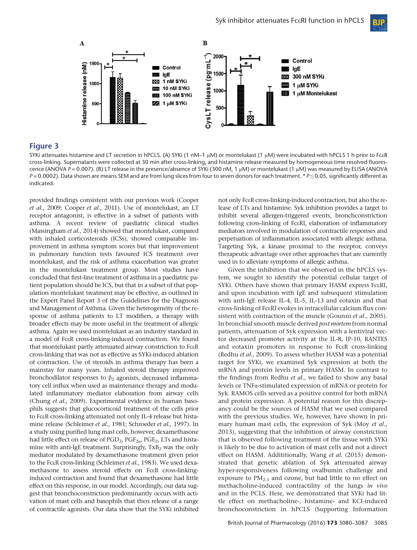

#### **Figure 3**

SYKi attenuates histamine and LT secretion in hPCLS. (A) SYKi (1 nM–1 μM) or montelukast (1 μM) were incubated with hPCLS 1 h prior to FcεR cross-linking. Supernatants were collected at 30 min after cross-linking, and histamine release measured by homogeneous time resolved fluorescence (ANOVA P = 0.007). (B) LT release in the presence/absence of SYKi (300 nM, 1 μM) or montelukast (1 μM) was measured by ELISA (ANOVA P = 0.0002). Data shown are means SEM and are from lung slices from four to seven donors for each treatment. \* P ≤ 0.05, significantly different as indicated.

provided findings consistent with our previous work (Cooper et al., 2009; Cooper et al., 2011). Use of montelukast, an LT receptor antagonist, is effective in a subset of patients with asthma. A recent review of paediatric clinical studies (Massingham et al., 2014) showed that montelukast, compared with inhaled corticosteroids (ICSs), showed comparable improvement in asthma symptom scores but that improvement in pulmonary function tests favoured ICS treatment over montelukast, and the risk of asthma exacerbation was greater in the montelukast treatment group. Most studies have concluded that first-line treatment of asthma in a paediatric patient population should be ICS, but that in a subset of that population montelukast treatment may be effective, as outlined in the Expert Panel Report 3 of the Guidelines for the Diagnosis and Management of Asthma. Given the heterogeneity of the response of asthma patients to LT modifiers, a therapy with broader effects may be more useful in the treatment of allergic asthma. Again we used montelukast as an industry standard in a model of FcεR cross-linking-induced contraction. We found that montelukast partly attenuated airway constriction to FcεR cross-linking that was not as effective as SYKi-induced ablation of contraction. Use of steroids in asthma therapy has been a mainstay for many years. Inhaled steroid therapy improved bronchodilator responses to  $\beta_2$  agonists, decreased inflammatory cell influx when used as maintenance therapy and modulated inflammatory mediator elaboration from airway cells (Chung et al., 2009). Experimental evidence in human basophils suggests that glucocorticoid treatment of the cells prior to FcεR cross-linking attenuated not only IL-4 release but histamine release (Schleimer et al., 1981; Schroeder et al., 1997). In a study using purified lung mast cells, however, dexamethasone had little effect on release of  $PGD_2$ ,  $PGF_{2\alpha}$ ,  $PGE_2$ , LTs and histamine with anti-IgE treatment. Surprisingly,  $TxB<sub>2</sub>$  was the only mediator modulated by dexamethasone treatment given prior to the FcεR cross-linking (Schleimer et al., 1983). We used dexamethasone to assess steroid effects on FcεR cross-linkinginduced contraction and found that dexamethasone had little effect on this response, in our model. Accordingly, our data suggest that bronchoconstriction predominantly occurs with activation of mast cells and basophils that then release of a range of contractile agonists. Our data show that the SYKi inhibited

not only FcεR cross-linking-induced contraction, but also the release of LTs and histamine. Syk inhibition provides a target to inhibit several allergen-triggered events, bronchconstriction following cross-linking of FcεRI, elaboration of inflammatory mediators involved in modulation of contractile responses and perpetuation of inflammation associated with allergic asthma. Targeting Syk, a kinase proximal to the receptor, conveys therapeutic advantage over other approaches that are currently used in to alleviate symptoms of allergic asthma.

Given the inhibition that we observed in the hPCLS system, we sought to identify the potential cellular target of SYKi. Others have shown that primary HASM express FcεRI, and upon incubation with IgE and subsequent stimulation with anti-IgE release IL-4, IL-5, IL-13 and eotaxin and that cross-linking of FcεRI evokes in intracellular calcium flux consistent with contraction of the muscle (Gounni et al., 2005). In bronchial smooth muscle derived post mortem from normal patients, attenuation of Syk expression with a lentiviral vector decreased promoter activity at the IL-8, IP-10, RANTES and eotaxin promoters in response to FcεR cross-linking (Redhu et al., 2009). To assess whether HASM was a potential target for SYKi, we examined Syk expression at both the mRNA and protein levels in primary HASM. In contrast to the findings from Redhu et al., we failed to show any basal levels or TNFα-stimulated expression of mRNA or protein for Syk. RAMOS cells served as a positive control for both mRNA and protein expression. A potential reason for this discrepancy could be the sources of HASM that we used compared with the previous studies. We, however, have shown in primary human mast cells, the expression of Syk (Moy et al., 2013), suggesting that the inhibition of airway constriction that is observed following treatment of the tissue with SYKi is likely to be due to activation of mast cells and not a direct effect on HASM. Addititionally, Wang et al. (2015) demonstrated that genetic ablation of Syk attenuated airway hyper-responsiveness following ovalbumin challenge and exposure to  $PM<sub>2.5</sub>$  and ozone, but had little to no effect on methacholine-induced contractility of the lungs in vivo and in the PCLS. Here, we demonstrated that SYKi had little effect on methacholine-, histamine- and KCl-induced bronchoconstriction in hPCLS (Supporting Information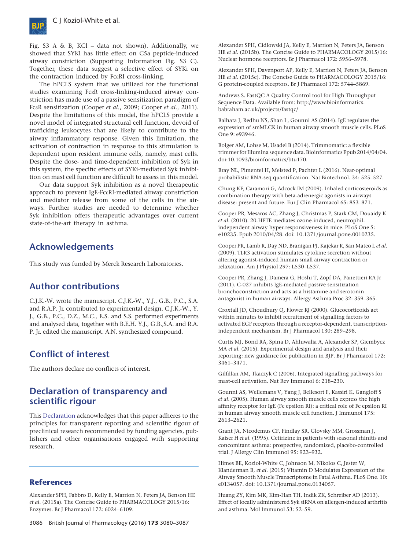

Fig. S3 A & B, KCl – data not shown). Additionally, we showed that SYKi has little effect on C5a peptide-induced airway constriction (Supporting Information Fig. S3 C). Together, these data suggest a selective effect of SYKi on the contraction induced by FcεRI cross-linking.

The hPCLS system that we utilized for the functional studies examining FcεR cross-linking-induced airway constriction has made use of a passive sensitization paradigm of FcεR sensitization (Cooper et al., 2009; Cooper et al., 2011). Despite the limitations of this model, the hPCLS provide a novel model of integrated structural cell function, devoid of trafficking leukocytes that are likely to contribute to the airway inflammatory response. Given this limitation, the activation of contraction in response to this stimulation is dependent upon resident immune cells, namely, mast cells. Despite the dose- and time-dependent inhibition of Syk in this system, the specific effects of SYKi-mediated Syk inhibition on mast cell function are difficult to assess in this model.

Our data support Syk inhibition as a novel therapeutic approach to prevent IgE-FcεRI-mediated airway constriction and mediator release from some of the cells in the airways. Further studies are needed to determine whether Syk inhibition offers therapeutic advantages over current state-of-the-art therapy in asthma.

## Acknowledgements

This study was funded by Merck Research Laboratories.

# Author contributions

C.J.K.-W. wrote the manuscript. C.J.K.-W., Y.J., G.B., P.C., S.A. and R.A.P. Jr. contributed to experimental design. C.J.K.-W., Y. J., G.B., P.C., D.Z., M.C., E.S. and S.S. performed experiments and analysed data, together with B.E.H. Y.J., G.B.,S.A. and R.A. P. Jr. edited the manuscript. A.N. synthesized compound.

## Conflict of interest

The authors declare no conflicts of interest.

## Declaration of transparency and scientific rigour

This [Declaration](http://onlinelibrary.wiley.com/doi/10.1111/bph.13405/abstract) acknowledges that this paper adheres to the principles for transparent reporting and scientific rigour of preclinical research recommended by funding agencies, publishers and other organisations engaged with supporting research.

#### **References**

Alexander SPH, Fabbro D, Kelly E, Marrion N, Peters JA, Benson HE et al. (2015a). The Concise Guide to PHARMACOLOGY 2015/16: Enzymes. Br J Pharmacol 172: 6024–6109.

Alexander SPH, Cidlowski JA, Kelly E, Marrion N, Peters JA, Benson HE et al. (2015b). The Concise Guide to PHARMACOLOGY 2015/16: Nuclear hormone receptors. Br J Pharmacol 172: 5956–5978.

Alexander SPH, Davenport AP, Kelly E, Marrion N, Peters JA, Benson HE et al. (2015c). The Concise Guide to PHARMACOLOGY 2015/16: G protein-coupled receptors. Br J Pharmacol 172: 5744–5869.

Andrews S. FastQC A Quality Control tool for High Throughput Sequence Data. Available from: [http://www.bioinformatics.](http://www.bioinformatics.babraham.ac.uk/projects/fastqc/) [babraham.ac.uk/projects/fastqc/](http://www.bioinformatics.babraham.ac.uk/projects/fastqc/)

Balhara J, Redhu NS, Shan L, Gounni AS (2014). IgE regulates the expression of smMLCK in human airway smooth muscle cells. PLoS One 9: e93946.

Bolger AM, Lohse M, Usadel B (2014). Trimmomatic: a flexible trimmer for Illumina sequence data. Bioinformatics Epub 2014/04/04. doi:[10.1093/bioinformatics/btu170.](http://dx.doi.org/10.1093/bioinformatics/btu170)

Bray NL, Pimentel H, Melsted P, Pachter L (2016). Near-optimal probabilistic RNA-seq quantification. Nat Biotechnol. 34: 525–527.

Chung KF, Caramori G, Adcock IM (2009). Inhaled corticosteroids as combination therapy with beta-adrenergic agonists in airways disease: present and future. Eur J Clin Pharmacol 65: 853–871.

Cooper PR, Mesaros AC, Zhang J, Christmas P, Stark CM, Douaidy K et al. (2010). 20-HETE mediates ozone-induced, neutrophilindependent airway hyper-responsiveness in mice. PLoS One 5: e10235. Epub 2010/04/28. doi: [10.1371/journal.pone.0010235.](http://dx.doi.org/10.1371/journal.pone.0010235)

Cooper PR, Lamb R, Day ND, Branigan PJ, Kajekar R, San Mateo L et al. (2009). TLR3 activation stimulates cytokine secretion without altering agonist-induced human small airway contraction or relaxation. Am J Physiol 297: L530–L537.

Cooper PR, Zhang J, Damera G, Hoshi T, Zopf DA, Panettieri RA Jr (2011). C-027 inhibits IgE-mediated passive sensitization bronchoconstriction and acts as a histamine and serotonin antagonist in human airways. Allergy Asthma Proc 32: 359–365.

Croxtall JD, Choudhury Q, Flower RJ (2000). Glucocorticoids act within minutes to inhibit recruitment of signalling factors to activated EGF receptors through a receptor-dependent, transcriptionindependent mechanism. Br J Pharmacol 130: 289–298.

Curtis MJ, Bond RA, Spina D, Ahluwalia A, Alexander SP, Giembycz MA et al. (2015). Experimental design and analysis and their reporting: new guidance for publication in BJP. Br J Pharmacol 172: 3461–3471.

Gilfillan AM, Tkaczyk C (2006). Integrated signalling pathways for mast-cell activation. Nat Rev Immunol 6: 218–230.

Gounni AS, Wellemans V, Yang J, Bellesort F, Kassiri K, Gangloff S et al. (2005). Human airway smooth muscle cells express the high affinity receptor for IgE (Fc epsilon RI): a critical role of Fc epsilon RI in human airway smooth muscle cell function. J Immunol 175: 2613–2621.

Grant JA, Nicodemus CF, Findlay SR, Glovsky MM, Grossman J, Kaiser H et al. (1995). Cetirizine in patients with seasonal rhinitis and concomitant asthma: prospective, randomized, placebo-controlled trial. J Allergy Clin Immunol 95: 923–932.

Himes BE, Koziol-White C, Johnson M, Nikolos C, Jester W, Klanderman B, et al. (2015) Vitamin D Modulates Expression of the Airway Smooth Muscle Transcriptome in Fatal Asthma. PLoS One. 10: e0134057. doi: [10.1371/journal.pone.0134057.](http://dx.doi.org/10.1371/journal.pone.0134057)

Huang ZY, Kim MK, Kim-Han TH, Indik ZK, Schreiber AD (2013). Effect of locally administered Syk siRNA on allergen-induced arthritis and asthma. Mol Immunol 53: 52–59.